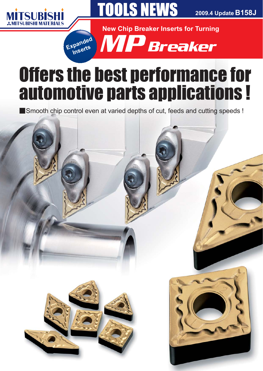



2009.4 Update B158J

**New Chip Breaker Inserts for Turning** 



# **Offers the best performance for** automotive parts applications !

Smooth chip control even at varied depths of cut, feeds and cutting speeds !

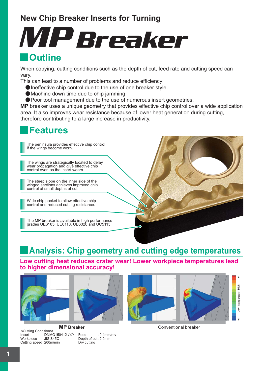## **New Chip Breaker Inserts for Turning**

# **N**Outline MP Breaker

### When copying, cutting conditions such as the depth of cut, feed rate and cutting speed can vary.

This can lead to a number of problems and reduce efficiency:

- $\bullet$  Ineffective chip control due to the use of one breaker style.
- $\bullet$  Machine down time due to chip jamming.
- **Poor tool management due to the use of numerous insert geometries.**

**MP** breaker uses a unique geometry that provides effective chip control over a wide application area. It also improves wear resistance because of lower heat generation during cutting, therefore contributing to a large increase in productivity.

## **Features**

y

The peninsula provides effective chip control if the wings become worn.

The wings are strategically located to delay wear propagation and give effective chip control even as the insert wears.

The steep slope on the inner side of the winged sections achieves improved chip control at small depths of cut.

Wide chip pocket to allow effective chip control and reduced cutting resistance.

The MP breaker is available in high performance grades UE6105, UE6110, UE6020 and UC5115!

# **Analysis: Chip geometry and cutting edge temperatures**

**Low cutting heat reduces crater wear! Lower workpiece temperatures lead to higher dimensional accuracy!**



<Cutting Conditions><br>Insert :: DNM Insert : DNMG150412-00<br>Workpiece : JIS S45C : JIS S45C Cutting speed : 200m/min



Feed : 0.4mm/rev Depth of cut: 2.0mm Dry cutting



**MP Breaker** Conventional breaker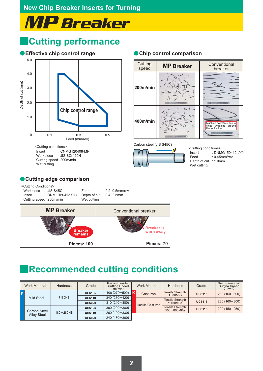# MP Breaker

### y **Cutting performance**





Carbon steel (JIS S45C)



<Cutting conditions> Insert : DNMG150412- $\circ$ <br>Feed : 0.45mm/rev  $: 0.45$ mm/rev Depth of cut : 1.0mm Wet cutting

### **Cutting edge comparison**

| <cutting conditions=""><br/>Workpiece : JIS S45C<br/>Cutting speed: 230m/min</cutting> | Feed<br>Wet cutting       | $: 0.2 - 0.5$ mm/rev<br>Depth of cut : 0.4–2.5mm |
|----------------------------------------------------------------------------------------|---------------------------|--------------------------------------------------|
| <b>MP</b> Breaker                                                                      |                           | Conventional breaker                             |
|                                                                                        | <b>Breaker</b><br>remains | <b>Breaker is</b><br>worn away                   |
|                                                                                        | Pieces: 100               | Pieces: 70                                       |

# **Recommended cutting conditions**

|              | <b>Work Material</b>               | <b>Hardness</b> | Grade         | Recommended<br><b>Cutting Speed</b><br>(m/min) |  | <b>Work Material</b> | <b>Hardness</b>                            | Grade         | Recommended<br><b>Cutting Speed</b><br>(m/min) |
|--------------|------------------------------------|-----------------|---------------|------------------------------------------------|--|----------------------|--------------------------------------------|---------------|------------------------------------------------|
| $\mathsf{P}$ |                                    |                 | <b>UE6105</b> | 400 $(270 - 500)$                              |  | Cast Iron            | <b>Tensile Strength</b><br>$\leq$ 300MPa   | <b>UC5115</b> | 230 (160-300)                                  |
|              | <b>Mild Steel</b>                  | ?180HB          | <b>UE6110</b> | $340(250 - 420)$                               |  |                      | <b>Tensile Strength</b><br>$\leq$ 450MPa   | <b>UC5115</b> | 230 (160-300)                                  |
|              |                                    |                 | <b>UE6020</b> | $310(240 - 380)$                               |  | Ductile Cast Iron    |                                            |               |                                                |
|              | Carbon Steel<br><b>Alloy Steel</b> |                 | <b>UE6105</b> | $300(200 - 380)$<br>$260(190 - 330)$           |  |                      | <b>Tensile Strength</b><br>$500 - 800$ MPa | <b>UC5115</b> | 200 (150-250)                                  |
|              |                                    | $180 - 280$ HB  | <b>UE6110</b> |                                                |  |                      |                                            |               |                                                |
|              |                                    |                 | <b>UE6020</b> | 240 (180 - 300)                                |  |                      |                                            |               |                                                |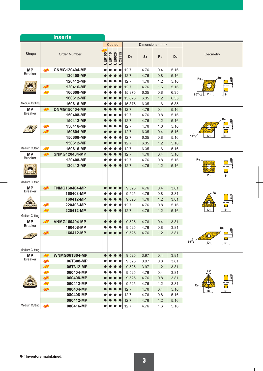| <b>Inserts</b>              |                     |                      |                           |           |               |               |                |                |           |                |                                                  |
|-----------------------------|---------------------|----------------------|---------------------------|-----------|---------------|---------------|----------------|----------------|-----------|----------------|--------------------------------------------------|
|                             |                     |                      | Coated<br>Dimensions (mm) |           |               |               |                |                |           |                |                                                  |
| Shape                       | <b>Order Number</b> |                      | <b>UE6105</b>             | UE6110    | <b>UE6020</b> | <b>UC5115</b> | D <sub>1</sub> | S <sub>1</sub> | <b>Re</b> | D <sub>2</sub> | Geometry                                         |
| <b>MP</b>                   | <b>NEW</b>          | <b>CNMG120404-MP</b> | $\bullet$                 |           |               |               | 12.7           | 4.76           | 0.4       | 5.16           |                                                  |
| <b>Breaker</b>              |                     | 120408-MP            | $\bullet$                 |           |               |               | 12.7           | 4.76           | 0.8       | 5.16           | Re                                               |
|                             |                     | 120412-MP            | $\bullet$                 | $\bullet$ |               |               | 12.7           | 4.76           | 1.2       | 5.16           | Re.                                              |
|                             | <b>NEW</b>          | 120416-MP            |                           | $\bullet$ |               |               | 12.7           | 4.76           | 1.6       | 5.16           | $\oplus$                                         |
|                             | <b>NEW</b>          | 160608-MP            |                           | $\bullet$ | $\bullet$     |               | 15.875         | 6.35           | 0.8       | 6.35           | $80^{\circ}$<br>D <sub>1</sub><br>S <sub>1</sub> |
|                             |                     | 160612-MP            |                           |           | $\bullet$     | $\bullet$     | 15.875         | 6.35           | 1.2       | 6.35           |                                                  |
| <b>Medium Cutting</b>       |                     | 160616-MP            | O                         | 0         | $\bullet$     |               | 15.875         | 6.35           | 1.6       | 6.35           |                                                  |
| <b>MP</b>                   | (NEW)               | <b>DNMG150404-MP</b> |                           |           |               |               | 12.7           | 4.76           | 0.4       | 5.16           |                                                  |
| <b>Breaker</b>              |                     | 150408-MP            |                           |           |               |               | 12.7           | 4.76           | 0.8       | 5.16           |                                                  |
|                             |                     | 150412-MP            | $\bullet$                 |           |               |               | 12.7           | 4.76           | 1.2       | 5.16           | Re<br>oD <sub>2</sub>                            |
|                             | NEW                 | 150416-MP            | e                         | $\bullet$ | 0             |               | 12.7           | 4.76           | 1.6       | 5.16           | $\bigoplus$                                      |
|                             | NEW                 | 150604-MP            |                           |           | $\bullet$     |               | 12.7           | 6.35           | 0.4       | 5.16           |                                                  |
|                             |                     | 150608-MP            |                           | 0         |               |               | 12.7           | 6.35           | 0.8       | 5.16           | D <sub>1</sub><br>$55^{\circ}$<br>S <sub>1</sub> |
|                             |                     | 150612-MP            |                           |           |               | O             | 12.7           | 6.35           | 1.2       | 5.16           |                                                  |
| Medium Cutting              | NEW                 | 150616-MP            |                           |           |               |               | 12.7           | 6.35           | 1.6       | 5.16           |                                                  |
| <b>MP</b>                   | (NEW)               | <b>SNMG120404-MP</b> |                           |           |               |               | 12.7           | 4.76           | 0.4       | 5.16           |                                                  |
| <b>Breaker</b>              |                     | 120408-MP            |                           |           |               |               | 12.7           | 4.76           | 0.8       | 5.16           | Re.<br>eD <sub>2</sub>                           |
|                             |                     | 120412-MP            | $\bullet$                 | $\bullet$ |               | $\bullet$     | 12.7           | 4.76           | 1.2       | 5.16           | $\bigodot$                                       |
| <b>Medium Cutting</b>       |                     |                      |                           |           |               |               |                |                |           |                | D <sub>1</sub><br>S1                             |
| <b>MP</b><br><b>Breaker</b> | <b>NEW</b>          | <b>TNMG160404-MP</b> |                           |           |               |               | 9.525          | 4.76           | 0.4       | 3.81           |                                                  |
|                             |                     | 160408-MP            |                           |           |               |               | 9.525          | 4.76           | 0.8       | 3.81           | Re<br>oD <sub>2</sub>                            |
|                             |                     | 160412-MP            |                           |           |               |               | 9.525          | 4.76           | 1.2       | 3.81           | 0                                                |
|                             | <b>NEW</b>          | 220408-MP            |                           | $\bullet$ |               |               | 12.7           | 4.76           | 0.8       | 5.16           |                                                  |
|                             | (NEW)               | 220412-MP            | $\bullet$                 | $\bullet$ | $\bullet$     | $\bullet$     | 12.7           | 4.76           | 1.2       | 5.16           | D <sub>1</sub><br>S <sub>1</sub>                 |
| Medium Cutting              |                     |                      |                           |           |               |               |                |                |           |                |                                                  |
| <b>MP</b><br><b>Breaker</b> | (NEW)               | <b>VNMG160404-MP</b> |                           |           |               |               | 9.525          | 4.76           | 0.4       | 3.81           |                                                  |
|                             |                     | 160408-MP            | $\bullet$                 | $\bullet$ | $\bullet$     | $\bullet$     | 9.525          | 4.76           | 0.8       | 3.81           | Re<br>$\frac{1}{2}$                              |
|                             |                     | 160412-MP            |                           |           |               |               | 9.525          | 4.76           | 1.2       | 3.81           | 0                                                |
|                             |                     |                      |                           |           |               |               |                |                |           |                | $35\sqrt{2}$<br>D <sub>1</sub><br>S <sub>1</sub> |
| Medium Cutting              |                     |                      |                           |           |               |               |                |                |           |                |                                                  |
| <b>MP</b>                   | <b>NEW</b>          | <b>WNMG06T304-MP</b> | $\bullet$                 | $\bullet$ |               | $\bullet$     | 9.525          | 3.97           | 0.4       | 3.81           |                                                  |
| <b>Breaker</b>              | NEW                 | 06T308-MP            | $\bullet$                 | 0         |               |               | 9.525          | 3.97           | 0.8       | 3.81           |                                                  |
|                             | <b>NEW</b>          | 06T312-MP            |                           |           |               |               | 9.525          | 3.97           | 1.2       | 3.81           |                                                  |
|                             | <b>NEW</b>          | 060404-MP            |                           |           |               |               | 9.525          | 4.76           | 0.4       | 3.81           | $80^\circ$                                       |
|                             | <b>NEW</b>          | 060408-MP            |                           |           |               |               | 9.525          | 4.76           | 0.8       | 3.81           |                                                  |
|                             | NEW                 | 060412-MP            |                           |           |               |               | 9.525          | 4.76           | 1.2       | 3.81           | $\bigcirc$<br>$Re-$                              |
|                             | <b>NEW</b>          | 080404-MP            |                           |           |               |               | 12.7           | 4.76           | 0.4       | 5.16           | D <sub>1</sub><br>S <sub>1</sub>                 |
|                             |                     | 080408-MP            |                           |           |               |               | 12.7           | 4.76           | 0.8       | 5.16           |                                                  |
|                             |                     | 080412-MP            | $\bullet$                 |           |               |               | 12.7           | 4.76           | 1.2       | 5.16           |                                                  |
| Medium Cutting              | NEW                 | 080416-MP            |                           | $\bullet$ |               |               | 12.7           | 4.76           | 1.6       | 5.16           |                                                  |

٦

 $\overline{1}$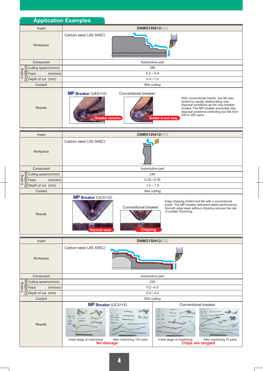| <b>Application Examples</b>                                                                                                                  |                                                                                                  |                                                                                                                                                                                                                                                                         |  |  |  |  |  |  |  |  |
|----------------------------------------------------------------------------------------------------------------------------------------------|--------------------------------------------------------------------------------------------------|-------------------------------------------------------------------------------------------------------------------------------------------------------------------------------------------------------------------------------------------------------------------------|--|--|--|--|--|--|--|--|
| Insert                                                                                                                                       |                                                                                                  | DNMG150612-00                                                                                                                                                                                                                                                           |  |  |  |  |  |  |  |  |
| Workpiece<br>Component                                                                                                                       | Carbon steel (JIS S45C)                                                                          | Automotive part                                                                                                                                                                                                                                                         |  |  |  |  |  |  |  |  |
| per Cutting speed (m/min<br>The Feed (mm/r<br>Conservation (mm/r<br>Conservation (mm)<br>Conservation (mm)<br>Cutting speed (m/min)          |                                                                                                  | 280                                                                                                                                                                                                                                                                     |  |  |  |  |  |  |  |  |
| (mm/rev)                                                                                                                                     |                                                                                                  | $0.2 - 0.4$                                                                                                                                                                                                                                                             |  |  |  |  |  |  |  |  |
|                                                                                                                                              | $0.4 - 1.0$                                                                                      |                                                                                                                                                                                                                                                                         |  |  |  |  |  |  |  |  |
| Coolant                                                                                                                                      | Wet cutting                                                                                      |                                                                                                                                                                                                                                                                         |  |  |  |  |  |  |  |  |
| <b>Results</b>                                                                                                                               | <b>MP Breaker (UE6110)</b><br>Conventional breaker<br><b>Breaker remains</b>                     | With conventional inserts, tool life was<br>limited by rapidly deteriorating chip<br>disposal conditions as the chip breaker<br>eroded. The MP breaker precluded chip<br>disposal problems extending tool life from<br>300 to 400 parts.<br><b>Breaker is worn away</b> |  |  |  |  |  |  |  |  |
| Insert                                                                                                                                       |                                                                                                  | <b>CNMG120412-00</b>                                                                                                                                                                                                                                                    |  |  |  |  |  |  |  |  |
| Workpiece                                                                                                                                    | Carbon steel (JIS S45C)                                                                          | $\bullet$                                                                                                                                                                                                                                                               |  |  |  |  |  |  |  |  |
| Component                                                                                                                                    |                                                                                                  | Automotive part                                                                                                                                                                                                                                                         |  |  |  |  |  |  |  |  |
| per Cutting speed (m/mi)<br>The Feed (mm/r<br>Consider Feed (mm/r<br>Consider Speed (mm)<br>Consider the Speed (mm)<br>Cutting speed (m/min) |                                                                                                  | 240                                                                                                                                                                                                                                                                     |  |  |  |  |  |  |  |  |
| (mm/rev)                                                                                                                                     | $0.25 - 0.35$                                                                                    |                                                                                                                                                                                                                                                                         |  |  |  |  |  |  |  |  |
|                                                                                                                                              |                                                                                                  | $1.0 - 1.5$                                                                                                                                                                                                                                                             |  |  |  |  |  |  |  |  |
| Coolant<br>Results                                                                                                                           | <b>MP Breaker (UC5115)</b><br>Conventional breaker<br><b>Chipping</b><br><b>Normal</b> wear      | Wet cutting<br>Edge chipping limited tool life with a conventional<br>insert. The MP breaker delivered stable performance.<br>Smooth edge wear without chipping reduces the risk<br>of sudden fracturing.                                                               |  |  |  |  |  |  |  |  |
| Insert                                                                                                                                       |                                                                                                  | DNMG150412-00                                                                                                                                                                                                                                                           |  |  |  |  |  |  |  |  |
| Workpiece                                                                                                                                    | Carbon steel (JIS S55C)                                                                          |                                                                                                                                                                                                                                                                         |  |  |  |  |  |  |  |  |
| Component                                                                                                                                    | Automotive part                                                                                  |                                                                                                                                                                                                                                                                         |  |  |  |  |  |  |  |  |
| per Cutting speed (m/min<br>The Feed (mm/r<br>Constrained (mm/r<br>Constrained (mm)<br>Constrained (mm)<br>Cutting speed (m/min)             |                                                                                                  | 230                                                                                                                                                                                                                                                                     |  |  |  |  |  |  |  |  |
| $(mm$ /rev $)$                                                                                                                               | $0.2 - 0.5$                                                                                      |                                                                                                                                                                                                                                                                         |  |  |  |  |  |  |  |  |
| Coolant                                                                                                                                      |                                                                                                  | $0.4 - 2.5$<br>Wet cutting                                                                                                                                                                                                                                              |  |  |  |  |  |  |  |  |
| <b>Results</b>                                                                                                                               | MP Breaker (UC5115)<br>æ<br>After machining 100 parts<br>Initial stage of machining<br>No damage | Conventional breaker<br>monuscus<br>Es Mus<br>Initial stage of machining<br>After machining 70 parts<br><b>Chips are tangled</b>                                                                                                                                        |  |  |  |  |  |  |  |  |